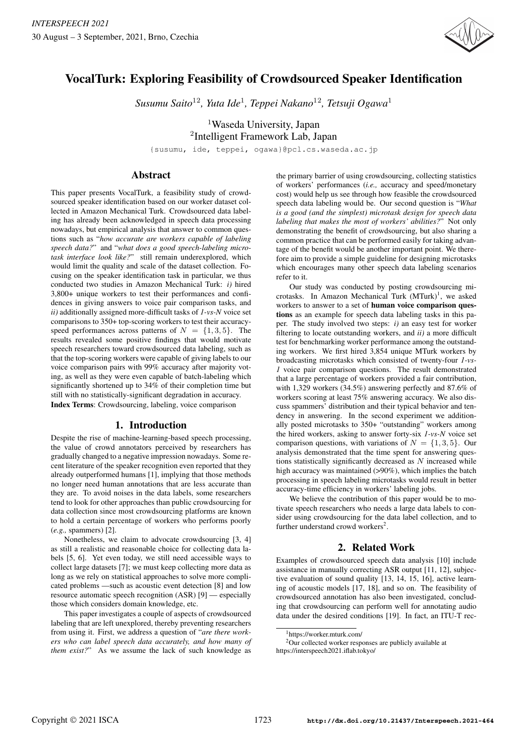

# VocalTurk: Exploring Feasibility of Crowdsourced Speaker Identification

*Susumu Saito*<sup>12</sup>*, Yuta Ide*<sup>1</sup> *, Teppei Nakano*<sup>12</sup>*, Tetsuji Ogawa*<sup>1</sup>

<sup>1</sup>Waseda University, Japan 2 Intelligent Framework Lab, Japan

{susumu, ide, teppei, ogawa}@pcl.cs.waseda.ac.jp

# Abstract

This paper presents VocalTurk, a feasibility study of crowdsourced speaker identification based on our worker dataset collected in Amazon Mechanical Turk. Crowdsourced data labeling has already been acknowledged in speech data processing nowadays, but empirical analysis that answer to common questions such as "*how accurate are workers capable of labeling speech data?*" and "*what does a good speech-labeling microtask interface look like?*" still remain underexplored, which would limit the quality and scale of the dataset collection. Focusing on the speaker identification task in particular, we thus conducted two studies in Amazon Mechanical Turk: *i)* hired 3,800+ unique workers to test their performances and confidences in giving answers to voice pair comparison tasks, and *ii)* additionally assigned more-difficult tasks of *1-vs-N* voice set comparisons to 350+ top-scoring workers to test their accuracyspeed performances across patterns of  $N = \{1, 3, 5\}$ . The results revealed some positive findings that would motivate speech researchers toward crowdsourced data labeling, such as that the top-scoring workers were capable of giving labels to our voice comparison pairs with 99% accuracy after majority voting, as well as they were even capable of batch-labeling which significantly shortened up to 34% of their completion time but still with no statistically-significant degradation in accuracy. Index Terms: Crowdsourcing, labeling, voice comparison

# 1. Introduction

Despite the rise of machine-learning-based speech processing, the value of crowd annotators perceived by researchers has gradually changed to a negative impression nowadays. Some recent literature of the speaker recognition even reported that they already outperformed humans [1], implying that those methods no longer need human annotations that are less accurate than they are. To avoid noises in the data labels, some researchers tend to look for other approaches than public crowdsourcing for data collection since most crowdsourcing platforms are known to hold a certain percentage of workers who performs poorly (*e.g.,* spammers) [2].

Nonetheless, we claim to advocate crowdsourcing [3, 4] as still a realistic and reasonable choice for collecting data labels [5, 6]. Yet even today, we still need accessible ways to collect large datasets [7]; we must keep collecting more data as long as we rely on statistical approaches to solve more complicated problems —such as acoustic event detection [8] and low resource automatic speech recognition (ASR) [9] — especially those which considers domain knowledge, etc.

This paper investigates a couple of aspects of crowdsourced labeling that are left unexplored, thereby preventing researchers from using it. First, we address a question of "*are there workers who can label speech data accurately, and how many of them exist?*" As we assume the lack of such knowledge as the primary barrier of using crowdsourcing, collecting statistics of workers' performances (*i.e.,* accuracy and speed/monetary cost) would help us see through how feasible the crowdsourced speech data labeling would be. Our second question is "*What is a good (and the simplest) microtask design for speech data labeling that makes the most of workers' abilities?*" Not only demonstrating the benefit of crowdsourcing, but also sharing a common practice that can be performed easily for taking advantage of the benefit would be another important point. We therefore aim to provide a simple guideline for designing microtasks which encourages many other speech data labeling scenarios refer to it.

Our study was conducted by posting crowdsourcing microtasks. In Amazon Mechanical Turk  $(MTurk)^1$ , we asked workers to answer to a set of **human voice comparison ques**tions as an example for speech data labeling tasks in this paper. The study involved two steps: *i)* an easy test for worker filtering to locate outstanding workers, and *ii)* a more difficult test for benchmarking worker performance among the outstanding workers. We first hired 3,854 unique MTurk workers by broadcasting microtasks which consisted of twenty-four *1-vs-1* voice pair comparison questions. The result demonstrated that a large percentage of workers provided a fair contribution, with 1,329 workers (34.5%) answering perfectly and 87.6% of workers scoring at least 75% answering accuracy. We also discuss spammers' distribution and their typical behavior and tendency in answering. In the second experiment we additionally posted microtasks to 350+ "outstanding" workers among the hired workers, asking to answer forty-six *1-vs-N* voice set comparison questions, with variations of  $N = \{1, 3, 5\}$ . Our analysis demonstrated that the time spent for answering questions statistically significantly decreased as  $N$  increased while high accuracy was maintained (>90%), which implies the batch processing in speech labeling microtasks would result in better accuracy-time efficiency in workers' labeling jobs.

We believe the contribution of this paper would be to motivate speech researchers who needs a large data labels to consider using crowdsourcing for the data label collection, and to further understand crowd workers<sup>2</sup>.

# 2. Related Work

Examples of crowdsourced speech data analysis [10] include assistance in manually correcting ASR output [11, 12], subjective evaluation of sound quality [13, 14, 15, 16], active learning of acoustic models [17, 18], and so on. The feasibility of crowdsourced annotation has also been investigated, concluding that crowdsourcing can perform well for annotating audio data under the desired conditions [19]. In fact, an ITU-T rec-

<sup>1</sup>https://worker.mturk.com/

<sup>&</sup>lt;sup>2</sup>Our collected worker responses are publicly available at https://interspeech2021.iflab.tokyo/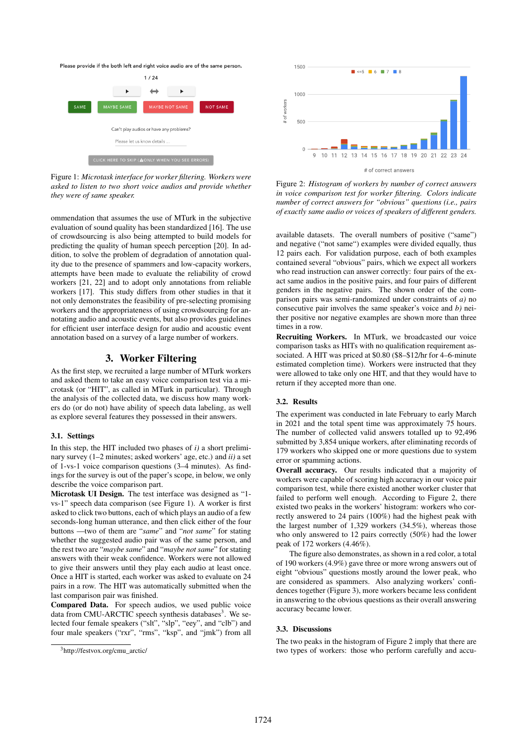Please provide if the both left and right voice audio are of the same person



Figure 1: *Microtask interface for worker filtering. Workers were asked to listen to two short voice audios and provide whether they were of same speaker.*

ommendation that assumes the use of MTurk in the subjective evaluation of sound quality has been standardized [16]. The use of crowdsourcing is also being attempted to build models for predicting the quality of human speech perception [20]. In addition, to solve the problem of degradation of annotation quality due to the presence of spammers and low-capacity workers, attempts have been made to evaluate the reliability of crowd workers [21, 22] and to adopt only annotations from reliable workers [17]. This study differs from other studies in that it not only demonstrates the feasibility of pre-selecting promising workers and the appropriateness of using crowdsourcing for annotating audio and acoustic events, but also provides guidelines for efficient user interface design for audio and acoustic event annotation based on a survey of a large number of workers.

# 3. Worker Filtering

As the first step, we recruited a large number of MTurk workers and asked them to take an easy voice comparison test via a microtask (or "HIT", as called in MTurk in particular). Through the analysis of the collected data, we discuss how many workers do (or do not) have ability of speech data labeling, as well as explore several features they possessed in their answers.

#### 3.1. Settings

In this step, the HIT included two phases of *i)* a short preliminary survey (1–2 minutes; asked workers' age, etc.) and *ii)* a set of 1-vs-1 voice comparison questions (3–4 minutes). As findings for the survey is out of the paper's scope, in below, we only describe the voice comparison part.

Microtask UI Design. The test interface was designed as "1 vs-1" speech data comparison (see Figure 1). A worker is first asked to click two buttons, each of which plays an audio of a few seconds-long human utterance, and then click either of the four buttons —two of them are "*same*" and "*not same*" for stating whether the suggested audio pair was of the same person, and the rest two are "*maybe same*" and "*maybe not same*" for stating answers with their weak confidence. Workers were not allowed to give their answers until they play each audio at least once. Once a HIT is started, each worker was asked to evaluate on 24 pairs in a row. The HIT was automatically submitted when the last comparison pair was finished.

Compared Data. For speech audios, we used public voice data from CMU-ARCTIC speech synthesis databases<sup>3</sup>. We selected four female speakers ("slt", "slp", "eey", and "clb") and four male speakers ("rxr", "rms", "ksp", and "jmk") from all



Figure 2: *Histogram of workers by number of correct answers in voice comparison test for worker filtering. Colors indicate number of correct answers for "obvious" questions (i.e., pairs of exactly same audio or voices of speakers of different genders.*

available datasets. The overall numbers of positive ("same") and negative ("not same") examples were divided equally, thus 12 pairs each. For validation purpose, each of both examples contained several "obvious" pairs, which we expect all workers who read instruction can answer correctly: four pairs of the exact same audios in the positive pairs, and four pairs of different genders in the negative pairs. The shown order of the comparison pairs was semi-randomized under constraints of *a)* no consecutive pair involves the same speaker's voice and *b)* neither positive nor negative examples are shown more than three times in a row.

Recruiting Workers. In MTurk, we broadcasted our voice comparison tasks as HITs with no qualification requirement associated. A HIT was priced at \$0.80 (\$8–\$12/hr for 4–6-minute estimated completion time). Workers were instructed that they were allowed to take only one HIT, and that they would have to return if they accepted more than one.

### 3.2. Results

The experiment was conducted in late February to early March in 2021 and the total spent time was approximately 75 hours. The number of collected valid answers totalled up to 92,496 submitted by 3,854 unique workers, after eliminating records of 179 workers who skipped one or more questions due to system error or spamming actions.

Overall accuracy. Our results indicated that a majority of workers were capable of scoring high accuracy in our voice pair comparison test, while there existed another worker cluster that failed to perform well enough. According to Figure 2, there existed two peaks in the workers' histogram: workers who correctly answered to 24 pairs (100%) had the highest peak with the largest number of 1,329 workers (34.5%), whereas those who only answered to 12 pairs correctly (50%) had the lower peak of 172 workers (4.46%).

The figure also demonstrates, as shown in a red color, a total of 190 workers (4.9%) gave three or more wrong answers out of eight "obvious" questions mostly around the lower peak, who are considered as spammers. Also analyzing workers' confidences together (Figure 3), more workers became less confident in answering to the obvious questions as their overall answering accuracy became lower.

#### 3.3. Discussions

The two peaks in the histogram of Figure 2 imply that there are two types of workers: those who perform carefully and accu-

<sup>3</sup>http://festvox.org/cmu\_arctic/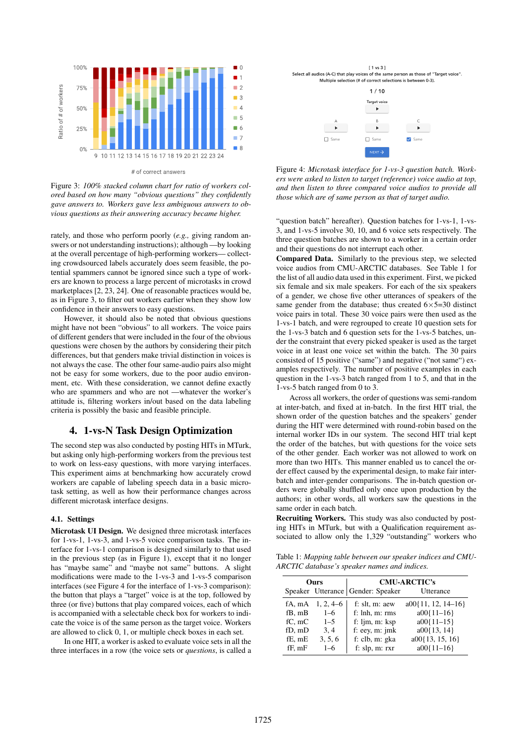

# of correct answers

Figure 3: *100% stacked column chart for ratio of workers colored based on how many "obvious questions" they confidently gave answers to. Workers gave less ambiguous answers to obvious questions as their answering accuracy became higher.*

rately, and those who perform poorly (*e.g.,* giving random answers or not understanding instructions); although —by looking at the overall percentage of high-performing workers— collecting crowdsourced labels accurately does seem feasible, the potential spammers cannot be ignored since such a type of workers are known to process a large percent of microtasks in crowd marketplaces [2, 23, 24]. One of reasonable practices would be, as in Figure 3, to filter out workers earlier when they show low confidence in their answers to easy questions.

However, it should also be noted that obvious questions might have not been "obvious" to all workers. The voice pairs of different genders that were included in the four of the obvious questions were chosen by the authors by considering their pitch differences, but that genders make trivial distinction in voices is not always the case. The other four same-audio pairs also might not be easy for some workers, due to the poor audio environment, etc. With these consideration, we cannot define exactly who are spammers and who are not —whatever the worker's attitude is, filtering workers in/out based on the data labeling criteria is possibly the basic and feasible principle.

## 4. 1-vs-N Task Design Optimization

The second step was also conducted by posting HITs in MTurk, but asking only high-performing workers from the previous test to work on less-easy questions, with more varying interfaces. This experiment aims at benchmarking how accurately crowd workers are capable of labeling speech data in a basic microtask setting, as well as how their performance changes across different microtask interface designs.

#### 4.1. Settings

Microtask UI Design. We designed three microtask interfaces for 1-vs-1, 1-vs-3, and 1-vs-5 voice comparison tasks. The interface for 1-vs-1 comparison is designed similarly to that used in the previous step (as in Figure 1), except that it no longer has "maybe same" and "maybe not same" buttons. A slight modifications were made to the 1-vs-3 and 1-vs-5 comparison interfaces (see Figure 4 for the interface of 1-vs-3 comparison): the button that plays a "target" voice is at the top, followed by three (or five) buttons that play compared voices, each of which is accompanied with a selectable check box for workers to indicate the voice is of the same person as the target voice. Workers are allowed to click 0, 1, or multiple check boxes in each set.

In one HIT, a worker is asked to evaluate voice sets in all the three interfaces in a row (the voice sets or *questions*, is called a



Figure 4: *Microtask interface for 1-vs-3 question batch. Workers were asked to listen to target (reference) voice audio at top, and then listen to three compared voice audios to provide all those which are of same person as that of target audio.*

"question batch" hereafter). Question batches for 1-vs-1, 1-vs-3, and 1-vs-5 involve 30, 10, and 6 voice sets respectively. The three question batches are shown to a worker in a certain order and their questions do not interrupt each other.

Compared Data. Similarly to the previous step, we selected voice audios from CMU-ARCTIC databases. See Table 1 for the list of all audio data used in this experiment. First, we picked six female and six male speakers. For each of the six speakers of a gender, we chose five other utterances of speakers of the same gender from the database; thus created  $6 \times 5=30$  distinct voice pairs in total. These 30 voice pairs were then used as the 1-vs-1 batch, and were regrouped to create 10 question sets for the 1-vs-3 batch and 6 question sets for the 1-vs-5 batches, under the constraint that every picked speaker is used as the target voice in at least one voice set within the batch. The 30 pairs consisted of 15 positive ("same") and negative ("not same") examples respectively. The number of positive examples in each question in the 1-vs-3 batch ranged from 1 to 5, and that in the 1-vs-5 batch ranged from 0 to 3.

Across all workers, the order of questions was semi-random at inter-batch, and fixed at in-batch. In the first HIT trial, the shown order of the question batches and the speakers' gender during the HIT were determined with round-robin based on the internal worker IDs in our system. The second HIT trial kept the order of the batches, but with questions for the voice sets of the other gender. Each worker was not allowed to work on more than two HITs. This manner enabled us to cancel the order effect caused by the experimental design, to make fair interbatch and inter-gender comparisons. The in-batch question orders were globally shuffled only once upon production by the authors; in other words, all workers saw the questions in the same order in each batch.

Recruiting Workers. This study was also conducted by posting HITs in MTurk, but with a Qualification requirement associated to allow only the 1,329 "outstanding" workers who

Table 1: *Mapping table between our speaker indices and CMU-ARCTIC database's speaker names and indices.*

| <b>Ours</b> |             | <b>CMU-ARCTIC's</b>                 |                        |
|-------------|-------------|-------------------------------------|------------------------|
|             |             | Speaker Utterance   Gender: Speaker | Utterance              |
| fA, mA      | $1, 2, 4-6$ | f: slt, m: aew                      | $a00\{11, 12, 14-16\}$ |
| fB, mB      | $1 - 6$     | f: lnh, m: rms                      | $a00\{11-16\}$         |
| $fC.$ m $C$ | $1 - 5$     | f: $\lim$ , $m:$ $\text{Ksp}$       | $a00\{11-15\}$         |
| fD, mD      | 3, 4        | f: eey, $m$ : $jmk$                 | $a00\{13, 14\}$        |
| fE, mE      | 3, 5, 6     | f: clb, m: gka                      | $a00\{13, 15, 16\}$    |
| fF. mF      | $1 - 6$     | f: $slp, m$ : $rxr$                 | $a00\{11-16\}$         |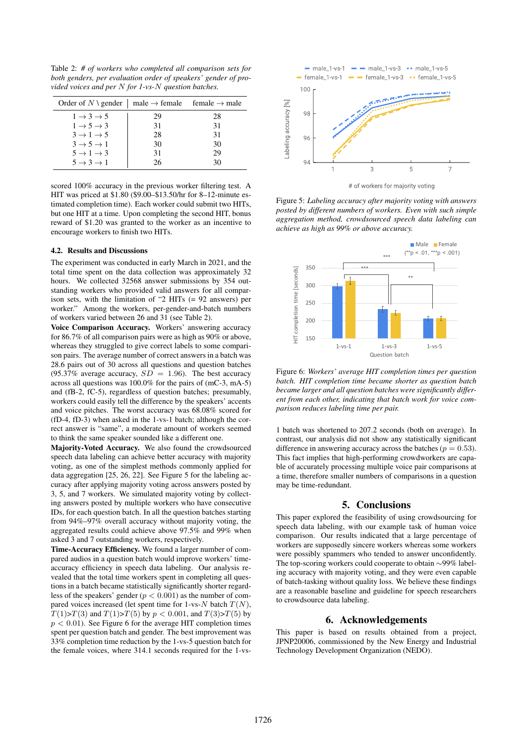Table 2: *# of workers who completed all comparison sets for both genders, per evaluation order of speakers' gender of provided voices and per* N *for 1-vs-*N *question batches.*

| Order of N \ gender   male $\rightarrow$ female female $\rightarrow$ male |    |    |
|---------------------------------------------------------------------------|----|----|
| $1 \rightarrow 3 \rightarrow 5$                                           | 29 | 28 |
| $1 \rightarrow 5 \rightarrow 3$                                           | 31 | 31 |
| $3 \rightarrow 1 \rightarrow 5$                                           | 28 | 31 |
| $3 \rightarrow 5 \rightarrow 1$                                           | 30 | 30 |
| $5 \rightarrow 1 \rightarrow 3$                                           | 31 | 29 |
| $5 \rightarrow 3 \rightarrow 1$                                           | 26 | 30 |

scored 100% accuracy in the previous worker filtering test. A HIT was priced at \$1.80 (\$9.00–\$13.50/hr for 8–12-minute estimated completion time). Each worker could submit two HITs, but one HIT at a time. Upon completing the second HIT, bonus reward of \$1.20 was granted to the worker as an incentive to encourage workers to finish two HITs.

#### 4.2. Results and Discussions

The experiment was conducted in early March in 2021, and the total time spent on the data collection was approximately 32 hours. We collected 32568 answer submissions by 354 outstanding workers who provided valid answers for all comparison sets, with the limitation of "2 HITs (= 92 answers) per worker." Among the workers, per-gender-and-batch numbers of workers varied between 26 and 31 (see Table 2).

Voice Comparison Accuracy. Workers' answering accuracy for 86.7% of all comparison pairs were as high as 90% or above, whereas they struggled to give correct labels to some comparison pairs. The average number of correct answers in a batch was 28.6 pairs out of 30 across all questions and question batches (95.37% average accuracy,  $SD = 1.96$ ). The best accuracy across all questions was 100.0% for the pairs of (mC-3, mA-5) and (fB-2, fC-5), regardless of question batches; presumably, workers could easily tell the difference by the speakers' accents and voice pitches. The worst accuracy was 68.08% scored for (fD-4, fD-3) when asked in the 1-vs-1 batch; although the correct answer is "same", a moderate amount of workers seemed to think the same speaker sounded like a different one.

Majority-Voted Accuracy. We also found the crowdsourced speech data labeling can achieve better accuracy with majority voting, as one of the simplest methods commonly applied for data aggregation [25, 26, 22]. See Figure 5 for the labeling accuracy after applying majority voting across answers posted by 3, 5, and 7 workers. We simulated majority voting by collecting answers posted by multiple workers who have consecutive IDs, for each question batch. In all the question batches starting from 94%–97% overall accuracy without majority voting, the aggregated results could achieve above 97.5% and 99% when asked 3 and 7 outstanding workers, respectively.

Time-Accuracy Efficiency. We found a larger number of compared audios in a question batch would improve workers' timeaccuracy efficiency in speech data labeling. Our analysis revealed that the total time workers spent in completing all questions in a batch became statistically significantly shorter regardless of the speakers' gender ( $p < 0.001$ ) as the number of compared voices increased (let spent time for 1-vs- $N$  batch  $T(N)$ ,  $T(1) > T(3)$  and  $T(1) > T(5)$  by  $p < 0.001$ , and  $T(3) > T(5)$  by  $p < 0.01$ ). See Figure 6 for the average HIT completion times spent per question batch and gender. The best improvement was 33% completion time reduction by the 1-vs-5 question batch for the female voices, where 314.1 seconds required for the 1-vs-



Figure 5: *Labeling accuracy after majority voting with answers posted by different numbers of workers. Even with such simple aggregation method, crowdsourced speech data labeling can*

*achieve as high as 99% or above accuracy.*



Figure 6: *Workers' average HIT completion times per question batch. HIT completion time became shorter as question batch became larger and all question batches were significantly different from each other, indicating that batch work for voice comparison reduces labeling time per pair.*

1 batch was shortened to 207.2 seconds (both on average). In contrast, our analysis did not show any statistically significant difference in answering accuracy across the batches ( $p = 0.53$ ). This fact implies that high-performing crowdworkers are capable of accurately processing multiple voice pair comparisons at a time, therefore smaller numbers of comparisons in a question may be time-redundant.

## 5. Conclusions

This paper explored the feasibility of using crowdsourcing for speech data labeling, with our example task of human voice comparison. Our results indicated that a large percentage of workers are supposedly sincere workers whereas some workers were possibly spammers who tended to answer unconfidently. The top-scoring workers could cooperate to obtain ∼99% labeling accuracy with majority voting, and they were even capable of batch-tasking without quality loss. We believe these findings are a reasonable baseline and guideline for speech researchers to crowdsource data labeling.

# 6. Acknowledgements

This paper is based on results obtained from a project, JPNP20006, commissioned by the New Energy and Industrial Technology Development Organization (NEDO).